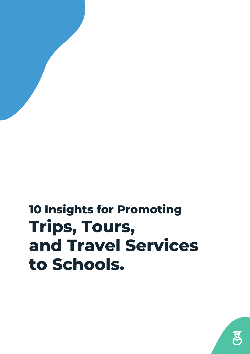### **10 Insights for Promoting Trips, Tours, and Travel Services to Schools.**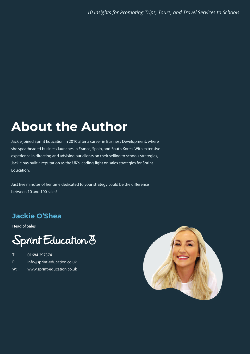#### **About the Author About the Author**

Jackie joined Sprint Education in 2010 after a career in Business Development, where she spearheaded business launches in France, Spain, and South Korea. With extensive experience in directing and advising our clients on their selling to schools strategies, Jackie has built a reputation as the UK's leading-light on sales strategies for Sprint Education.

Just five minutes of her time dedicated to your strategy could be the difference between 10 and 100 sales!

#### **Jackie O'Shea Jackie O'Shea**

Head of Sales

#### Sprint Education 8

- T: 01684 297374
- E: info@sprint-education.co.uk
- W: www.sprint-education.co.uk

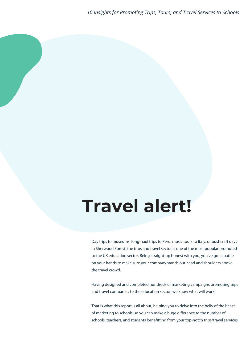# **Travel alert!**

Day trips to museums, long-haul trips to Peru, music tours to Italy, or bushcraft days in Sherwood Forest, the trips and travel sector is one of the most popular promoted to the UK education sector. Being straight-up honest with you, you've got a battle on your hands to make sure your company stands out head and shoulders above the travel crowd.

Having designed and completed hundreds of marketing campaigns promoting trips and travel companies to the education sector, we know what will work.

That is what this report is all about, helping you to delve into the belly of the beast of marketing to schools, so you can make a huge difference to the number of schools, teachers, and students benefitting from your top-notch trips/travel services.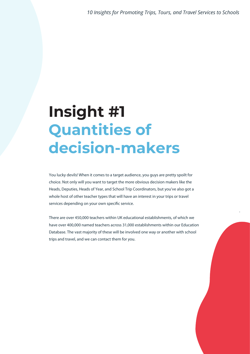.

#### **Insight #1 Quantities of decision-makers**

You lucky devils! When it comes to a target audience, you guys are pretty spoilt for choice. Not only will you want to target the more obvious decision makers like the Heads, Deputies, Heads of Year, and School Trip Coordinators, but you've also got a whole host of other teacher types that will have an interest in your trips or travel services depending on your own specific service.

There are over 450,000 teachers within UK educational establishments, of which we have over 400,000 named teachers across 31,000 establishments within our Education Database. The vast majority of these will be involved one way or another with school trips and travel, and we can contact them for you.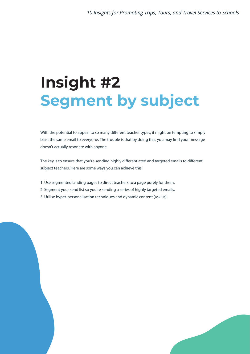# **Insight #2 Segment by subject**

With the potential to appeal to so many different teacher types, it might be tempting to simply blast the same email to everyone. The trouble is that by doing this, you may find your message doesn't actually resonate with anyone.

The key is to ensure that you're sending highly differentiated and targeted emails to different subject teachers. Here are some ways you can achieve this:

- 1. Use segmented landing pages to direct teachers to a page purely for them.
- 2. Segment your send list so you're sending a series of highly targeted emails.
- 3. Utilise hyper-personalisation techniques and dynamic content (ask us).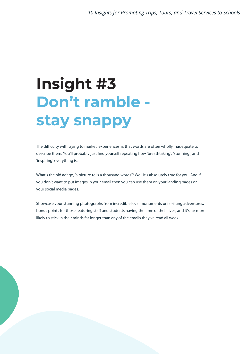# **Insight #3 Don't ramble stay snappy**

The difficulty with trying to market 'experiences' is that words are often wholly inadequate to describe them. You'll probably just find yourself repeating how 'breathtaking', 'stunning', and 'inspiring' everything is.

What's the old adage, 'a picture tells a thousand words'? Well it's absolutely true for you. And if you don't want to put images in your email then you can use them on your landing pages or your social media pages.

Showcase your stunning photographs from incredible local monuments or far-flung adventures, bonus points for those featuring staff and students having the time of their lives, and it's far more likely to stick in their minds far longer than any of the emails they've read all week.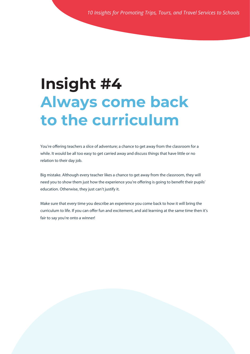#### **Insight #4 Always come back to the curriculum**

You're offering teachers a slice of adventure; a chance to get away from the classroom for a while. It would be all too easy to get carried away and discuss things that have little or no relation to their day job.

Big mistake. Although every teacher likes a chance to get away from the classroom, they will need you to show them just how the experience you're offering is going to benefit their pupils' education. Otherwise, they just can't justify it.

Make sure that every time you describe an experience you come back to how it will bring the curriculum to life. If you can offer fun and excitement, and aid learning at the same time then it's fair to say you're onto a winner!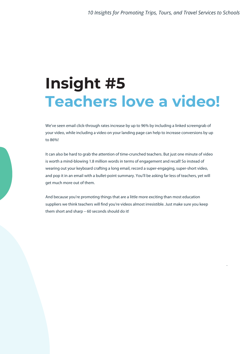### **Insight #5 Teachers love a video!**

We've seen email click-through rates increase by up to 96% by including a linked screengrab of your video, while including a video on your landing page can help to increase conversions by up to 86%!

It can also be hard to grab the attention of time-crunched teachers. But just one minute of video is worth a mind-blowing 1.8 million words in terms of engagement and recall! So instead of wearing out your keyboard crafting a long email, record a super-engaging, super-short video, and pop it in an email with a bullet-point summary. You'll be asking far less of teachers, yet will get much more out of them.

And because you're promoting things that are a little more exciting than most education suppliers we think teachers will find you're videos almost irresistible. Just make sure you keep them short and sharp – 60 seconds should do it!

.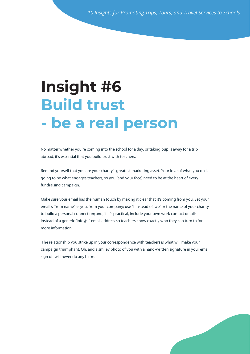#### **Institute Expanding True - be a real Insight #6 Build trust - be a real person**

**sharing buttons** No matter whether you're coming into the school for a day, or taking pupils away for a trip abroad, it's essential that you build trust with teachers.

Remind yourself that you are your charity's greatest marketing asset. Your love of what you do is going to be what engages teachers, so you (and your face) need to be at the heart of every fundraising campaign.

Make sure your email has the human touch by making it clear that it's coming from you. Set your email's 'from name' as you, from your company; use 'I' instead of 'we' or the name of your charity instead of a generic 'info@...' email address so teachers know exactly who they can turn to for to build a personal connection; and, if it's practical, include your own work contact details more information.

 The relationship you strike up in your correspondence with teachers is what will make your campaign triumphant. Oh, and a smiley photo of you with a hand-written signature in your email sign off will never do any harm.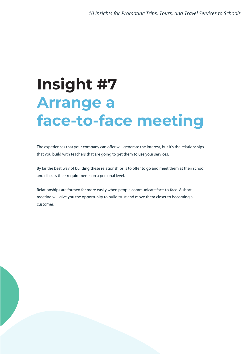## **Insight #7 Arrange a face-to-face meeting**

The experiences that your company can offer will generate the interest, but it's the relationships that you build with teachers that are going to get them to use your services.

By far the best way of building these relationships is to offer to go and meet them at their school and discuss their requirements on a personal level.

Relationships are formed far more easily when people communicate face-to-face. A short meeting will give you the opportunity to build trust and move them closer to becoming a customer.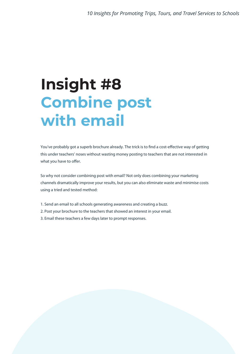### **Insight #8 Combine post with email**

You've probably got a superb brochure already. The trick is to find a cost-effective way of getting this under teachers' noses without wasting money posting to teachers that are not interested in what you have to offer.

So why not consider combining post with email? Not only does combining your marketing channels dramatically improve your results, but you can also eliminate waste and minimise costs using a tried and tested method:

- 1. Send an email to all schools generating awareness and creating a buzz.
- 2. Post your brochure to the teachers that showed an interest in your email.
- 3. Email these teachers a few days later to prompt responses.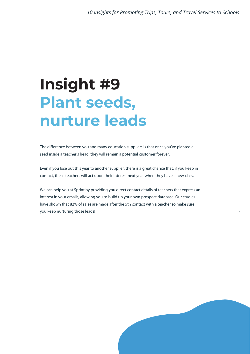### **Insight #9 Plant seeds, nurture leads**

The difference between you and many education suppliers is that once you've planted a seed inside a teacher's head, they will remain a potential customer forever.

Even if you lose out this year to another supplier, there is a great chance that, if you keep in contact, these teachers will act upon their interest next year when they have a new class.

We can help you at Sprint by providing you direct contact details of teachers that express an interest in your emails, allowing you to build up your own prospect database. Our studies have shown that 82% of sales are made after the 5th contact with a teacher so make sure you keep nurturing those leads!



.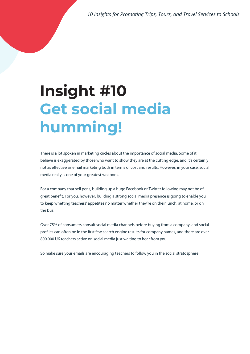*10 Insights for Promoting Trips, Tours, and Travel Services to Schools*

# **Insight #10 Get social media humming!**

There is a lot spoken in marketing circles about the importance of social media. Some of it I believe is exaggerated by those who want to show they are at the cutting edge, and it's certainly not as effective as email marketing both in terms of cost and results. However, in your case, social media really is one of your greatest weapons.

For a company that sell pens, building up a huge Facebook or Twitter following may not be of great benefit. For you, however, building a strong social media presence is going to enable you to keep whetting teachers' appetites no matter whether they're on their lunch, at home, or on the bus.

Over 75% of consumers consult social media channels before buying from a company, and social profiles can often be in the first few search engine results for company names, and there are over 800,000 UK teachers active on social media just waiting to hear from you.

So make sure your emails are encouraging teachers to follow you in the social stratosphere!